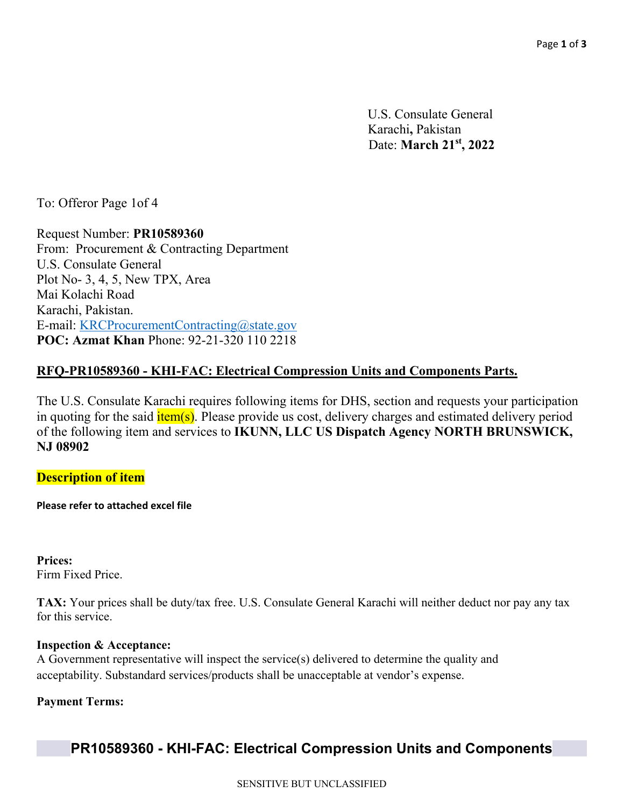U.S. Consulate General Karachi**,** Pakistan Date: **March 21st, 2022**

To: Offeror Page 1of 4

Request Number: **PR10589360**  From: Procurement & Contracting Department U.S. Consulate General Plot No- 3, 4, 5, New TPX, Area Mai Kolachi Road Karachi, Pakistan. E-mail: KRCProcurementContracting@state.gov **POC: Azmat Khan** Phone: 92-21-320 110 2218

### **RFQ-PR10589360 - KHI-FAC: Electrical Compression Units and Components Parts.**

The U.S. Consulate Karachi requires following items for DHS, section and requests your participation in quoting for the said **item(s)**. Please provide us cost, delivery charges and estimated delivery period of the following item and services to **IKUNN, LLC US Dispatch Agency NORTH BRUNSWICK, NJ 08902**

#### **Description of item**

**Please refer to attached excel file** 

**Prices:**  Firm Fixed Price.

**TAX:** Your prices shall be duty/tax free. U.S. Consulate General Karachi will neither deduct nor pay any tax for this service.

#### **Inspection & Acceptance:**

A Government representative will inspect the service(s) delivered to determine the quality and acceptability. Substandard services/products shall be unacceptable at vendor's expense.

#### **Payment Terms:**

# **PR10589360 - KHI-FAC: Electrical Compression Units and Components**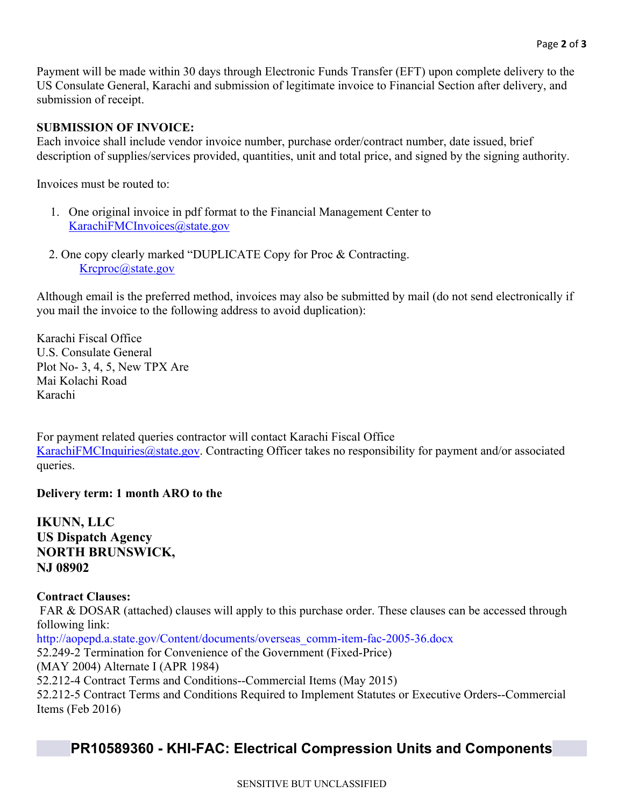Payment will be made within 30 days through Electronic Funds Transfer (EFT) upon complete delivery to the US Consulate General, Karachi and submission of legitimate invoice to Financial Section after delivery, and submission of receipt.

#### **SUBMISSION OF INVOICE:**

Each invoice shall include vendor invoice number, purchase order/contract number, date issued, brief description of supplies/services provided, quantities, unit and total price, and signed by the signing authority.

Invoices must be routed to:

- 1. One original invoice in pdf format to the Financial Management Center to KarachiFMCInvoices@state.gov
- 2. One copy clearly marked "DUPLICATE Copy for Proc & Contracting. Krcproc@state.gov

Although email is the preferred method, invoices may also be submitted by mail (do not send electronically if you mail the invoice to the following address to avoid duplication):

Karachi Fiscal Office U.S. Consulate General Plot No- 3, 4, 5, New TPX Are Mai Kolachi Road Karachi

For payment related queries contractor will contact Karachi Fiscal Office KarachiFMCInquiries@state.gov. Contracting Officer takes no responsibility for payment and/or associated queries.

#### **Delivery term: 1 month ARO to the**

**IKUNN, LLC US Dispatch Agency NORTH BRUNSWICK, NJ 08902**

**Contract Clauses:**  FAR & DOSAR (attached) clauses will apply to this purchase order. These clauses can be accessed through following link: http://aopepd.a.state.gov/Content/documents/overseas\_comm-item-fac-2005-36.docx 52.249-2 Termination for Convenience of the Government (Fixed-Price) (MAY 2004) Alternate I (APR 1984) 52.212-4 Contract Terms and Conditions--Commercial Items (May 2015) 52.212-5 Contract Terms and Conditions Required to Implement Statutes or Executive Orders--Commercial Items (Feb 2016)

### **PR10589360 - KHI-FAC: Electrical Compression Units and Components**